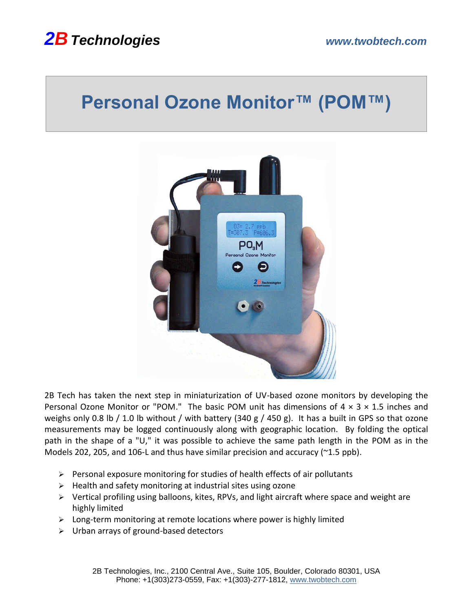## *2BTechnologies www.twobtech.com*

# **Personal Ozone Monitor™ (POM™)**



2B Tech has taken the next step in miniaturization of UV-based ozone monitors by developing the Personal Ozone Monitor or "POM." The basic POM unit has dimensions of  $4 \times 3 \times 1.5$  inches and weighs only 0.8 lb / 1.0 lb without / with battery (340 g / 450 g). It has a built in GPS so that ozone measurements may be logged continuously along with geographic location. By folding the optical path in the shape of a "U," it was possible to achieve the same path length in the POM as in the Models 202, 205, and 106-L and thus have similar precision and accuracy (~1.5 ppb).

- ➢ Personal exposure monitoring for studies of health effects of air pollutants
- ➢ Health and safety monitoring at industrial sites using ozone
- ➢ Vertical profiling using balloons, kites, RPVs, and light aircraft where space and weight are highly limited
- ➢ Long-term monitoring at remote locations where power is highly limited
- ➢ Urban arrays of ground-based detectors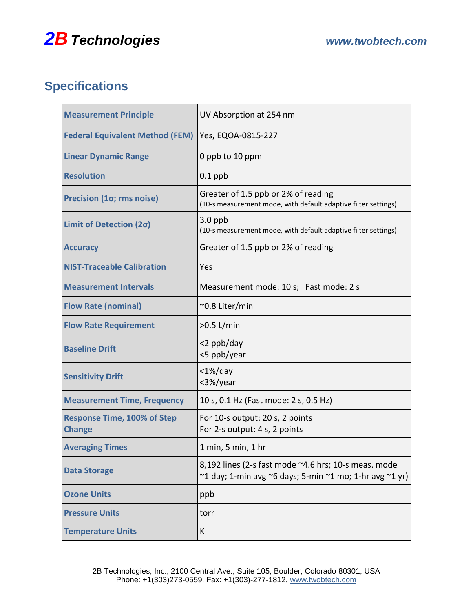### *2BTechnologies www.twobtech.com*

#### **Specifications**

| <b>Measurement Principle</b>                        | UV Absorption at 254 nm                                                                                         |
|-----------------------------------------------------|-----------------------------------------------------------------------------------------------------------------|
| <b>Federal Equivalent Method (FEM)</b>              | Yes, EQOA-0815-227                                                                                              |
| <b>Linear Dynamic Range</b>                         | 0 ppb to 10 ppm                                                                                                 |
| <b>Resolution</b>                                   | $0.1$ ppb                                                                                                       |
| Precision (10; rms noise)                           | Greater of 1.5 ppb or 2% of reading<br>(10-s measurement mode, with default adaptive filter settings)           |
| Limit of Detection (20)                             | $3.0$ ppb<br>(10-s measurement mode, with default adaptive filter settings)                                     |
| <b>Accuracy</b>                                     | Greater of 1.5 ppb or 2% of reading                                                                             |
| <b>NIST-Traceable Calibration</b>                   | Yes                                                                                                             |
| <b>Measurement Intervals</b>                        | Measurement mode: 10 s; Fast mode: 2 s                                                                          |
| <b>Flow Rate (nominal)</b>                          | ~0.8 Liter/min                                                                                                  |
| <b>Flow Rate Requirement</b>                        | $>0.5$ L/min                                                                                                    |
| <b>Baseline Drift</b>                               | <2 ppb/day<br><5 ppb/year                                                                                       |
| <b>Sensitivity Drift</b>                            | $<$ 1%/day<br><3%/year                                                                                          |
| <b>Measurement Time, Frequency</b>                  | 10 s, 0.1 Hz (Fast mode: 2 s, 0.5 Hz)                                                                           |
| <b>Response Time, 100% of Step</b><br><b>Change</b> | For 10-s output: 20 s, 2 points<br>For 2-s output: 4 s, 2 points                                                |
| <b>Averaging Times</b>                              | 1 min, 5 min, 1 hr                                                                                              |
| <b>Data Storage</b>                                 | 8,192 lines (2-s fast mode ~4.6 hrs; 10-s meas. mode<br>~1 day; 1-min avg ~6 days; 5-min ~1 mo; 1-hr avg ~1 yr) |
| <b>Ozone Units</b>                                  | ppb                                                                                                             |
| <b>Pressure Units</b>                               | torr                                                                                                            |
| <b>Temperature Units</b>                            | K                                                                                                               |